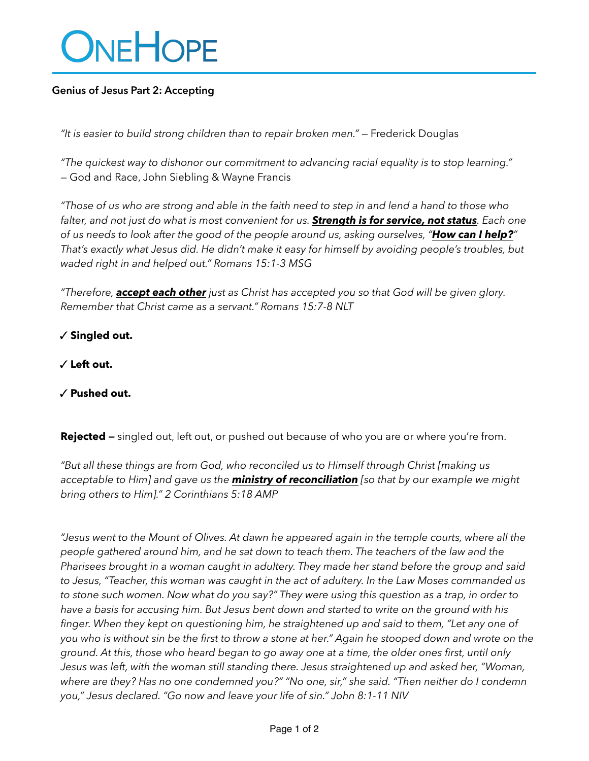# ONEHOPE

## **Genius of Jesus Part 2: Accepting**

*"It is easier to build strong children than to repair broken men."* — Frederick Douglas

*"The quickest way to dishonor our commitment to advancing racial equality is to stop learning."* — God and Race, John Siebling & Wayne Francis

*"Those of us who are strong and able in the faith need to step in and lend a hand to those who falter, and not just do what is most convenient for us. Strength is for service, not status. Each one of us needs to look after the good of the people around us, asking ourselves, "How can I help?" That's exactly what Jesus did. He didn't make it easy for himself by avoiding people's troubles, but waded right in and helped out." Romans 15:1-3 MSG*

*"Therefore, accept each other just as Christ has accepted you so that God will be given glory. Remember that Christ came as a servant." Romans 15:7-8 NLT*

✓ **Singled out.**

✓ **Left out.**

✓ **Pushed out.**

**Rejected —** singled out, left out, or pushed out because of who you are or where you're from.

*"But all these things are from God, who reconciled us to Himself through Christ [making us acceptable to Him] and gave us the ministry of reconciliation [so that by our example we might bring others to Him]." 2 Corinthians 5:18 AMP*

*"Jesus went to the Mount of Olives. At dawn he appeared again in the temple courts, where all the*  people gathered around him, and he sat down to teach them. The teachers of the law and the *Pharisees brought in a woman caught in adultery. They made her stand before the group and said to Jesus, "Teacher, this woman was caught in the act of adultery. In the Law Moses commanded us to stone such women. Now what do you say?" They were using this question as a trap, in order to have a basis for accusing him. But Jesus bent down and started to write on the ground with his finger. When they kept on questioning him, he straightened up and said to them, "Let any one of you who is without sin be the first to throw a stone at her." Again he stooped down and wrote on the ground. At this, those who heard began to go away one at a time, the older ones first, until only Jesus was left, with the woman still standing there. Jesus straightened up and asked her, "Woman, where are they? Has no one condemned you?" "No one, sir," she said. "Then neither do I condemn you," Jesus declared. "Go now and leave your life of sin." John 8:1-11 NIV*